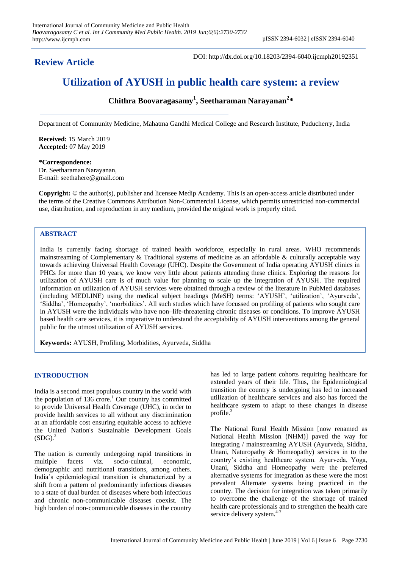## **Review Article**

DOI: http://dx.doi.org/10.18203/2394-6040.ijcmph20192351

# **Utilization of AYUSH in public health care system: a review**

**Chithra Boovaragasamy<sup>1</sup> , Seetharaman Narayanan<sup>2</sup> \***

Department of Community Medicine, Mahatma Gandhi Medical College and Research Institute, Puducherry, India

**Received:** 15 March 2019 **Accepted:** 07 May 2019

**\*Correspondence:** Dr. Seetharaman Narayanan, E-mail: seethahere@gmail.com

**Copyright:** © the author(s), publisher and licensee Medip Academy. This is an open-access article distributed under the terms of the Creative Commons Attribution Non-Commercial License, which permits unrestricted non-commercial use, distribution, and reproduction in any medium, provided the original work is properly cited.

### **ABSTRACT**

India is currently facing shortage of trained health workforce, especially in rural areas. WHO recommends mainstreaming of Complementary & Traditional systems of medicine as an affordable & culturally acceptable way towards achieving Universal Health Coverage (UHC). Despite the Government of India operating AYUSH clinics in PHCs for more than 10 years, we know very little about patients attending these clinics. Exploring the reasons for utilization of AYUSH care is of much value for planning to scale up the integration of AYUSH. The required information on utilization of AYUSH services were obtained through a review of the literature in PubMed databases (including MEDLINE) using the medical subject headings (MeSH) terms: 'AYUSH', 'utilization', 'Ayurveda', 'Siddha', 'Homeopathy', 'morbidities'. All such studies which have focussed on profiling of patients who sought care in AYUSH were the individuals who have non–life-threatening chronic diseases or conditions. To improve AYUSH based health care services, it is imperative to understand the acceptability of AYUSH interventions among the general public for the utmost utilization of AYUSH services.

**Keywords:** AYUSH, Profiling, Morbidities, Ayurveda, Siddha

#### **INTRODUCTION**

India is a second most populous country in the world with the population of  $136$  crore.<sup>1</sup> Our country has committed to provide Universal Health Coverage (UHC), in order to provide health services to all without any discrimination at an affordable cost ensuring equitable access to achieve the United Nation's Sustainable Development Goals  $(SDG)<sup>2</sup>$ 

The nation is currently undergoing rapid transitions in multiple facets viz. socio-cultural, economic, demographic and nutritional transitions, among others. India's epidemiological transition is characterized by a shift from a pattern of predominantly infectious diseases to a state of dual burden of diseases where both infectious and chronic non-communicable diseases coexist. The high burden of non-communicable diseases in the country has led to large patient cohorts requiring healthcare for extended years of their life. Thus, the Epidemiological transition the country is undergoing has led to increased utilization of healthcare services and also has forced the healthcare system to adapt to these changes in disease profile. $3$ 

The National Rural Health Mission [now renamed as National Health Mission (NHM)] paved the way for integrating / mainstreaming AYUSH (Ayurveda, Siddha, Unani, Naturopathy & Homeopathy) services in to the country's existing healthcare system. Ayurveda, Yoga, Unani, Siddha and Homeopathy were the preferred alternative systems for integration as these were the most prevalent Alternate systems being practiced in the country. The decision for integration was taken primarily to overcome the challenge of the shortage of trained health care professionals and to strengthen the health care service delivery system.<sup>4-7</sup>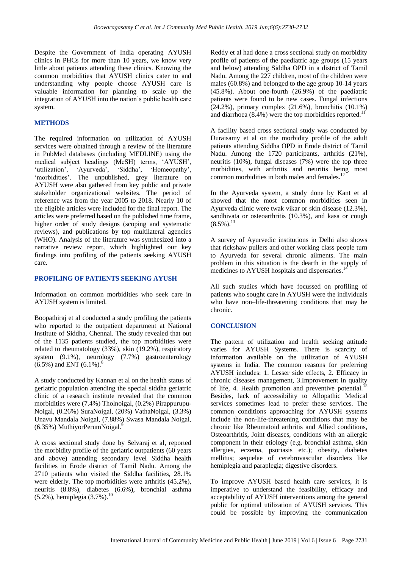Despite the Government of India operating AYUSH clinics in PHCs for more than 10 years, we know very little about patients attending these clinics. Knowing the common morbidities that AYUSH clinics cater to and understanding why people choose AYUSH care is valuable information for planning to scale up the integration of AYUSH into the nation's public health care system.

#### **METHODS**

The required information on utilization of AYUSH services were obtained through a review of the literature in PubMed databases (including MEDLINE) using the medical subject headings (MeSH) terms, 'AYUSH', 'utilization', 'Ayurveda', 'Siddha', 'Homeopathy', 'morbidities'. The unpublished, grey literature on AYUSH were also gathered from key public and private stakeholder organizational websites. The period of reference was from the year 2005 to 2018. Nearly 10 of the eligible articles were included for the final report. The articles were preferred based on the published time frame, higher order of study designs (scoping and systematic reviews), and publications by top multilateral agencies (WHO). Analysis of the literature was synthesized into a narrative review report, which highlighted our key findings into profiling of the patients seeking AYUSH care.

#### **PROFILING OF PATIENTS SEEKING AYUSH**

Information on common morbidities who seek care in AYUSH system is limited.

Boopathiraj et al conducted a study profiling the patients who reported to the outpatient department at National Institute of Siddha, Chennai. The study revealed that out of the 1135 patients studied, the top morbidities were related to rheumatology (33%), skin (19.2%), respiratory system (9.1%), neurology (7.7%) gastroenterology  $(6.5\%)$  and ENT  $(6.1\%)$ .<sup>8</sup>

A study conducted by Kannan et al on the health status of geriatric population attending the special siddha geriatric clinic of a research institute revealed that the common morbidities were (7.4%) Tholnoigal, (0.2%) Pirappurupu-Noigal, (0.26%) SuraNoigal, (20%) VathaNoigal, (3.3%) Unavu Mandala Noigal, (7.88%) Swasa Mandala Noigal,  $(6.35\%)$  MuthiyorPerumNoigal.<sup>9</sup>

A cross sectional study done by Selvaraj et al, reported the morbidity profile of the geriatric outpatients (60 years and above) attending secondary level Siddha health facilities in Erode district of Tamil Nadu. Among the 2710 patients who visited the Siddha facilities, 28.1% were elderly. The top morbidities were arthritis (45.2%), neuritis (8.8%), diabetes (6.6%), bronchial asthma  $(5.2\%)$ , hemiplegia  $(3.7\%)$ .<sup>10</sup>

Reddy et al had done a cross sectional study on morbidity profile of patients of the paediatric age groups (15 years and below) attending Siddha OPD in a district of Tamil Nadu. Among the 227 children, most of the children were males (60.8%) and belonged to the age group 10-14 years (45.8%). About one-fourth (26.9%) of the paediatric patients were found to be new cases. Fungal infections (24.2%), primary complex (21.6%), bronchitis (10.1%) and diarrhoea  $(8.4\%)$  were the top morbidities reported.<sup>1</sup>

A facility based cross sectional study was conducted by Duraisamy et al on the morbidity profile of the adult patients attending Siddha OPD in Erode district of Tamil Nadu. Among the 1720 participants, arthritis (21%), neuritis  $(10\%)$ , fungal diseases  $(7\%)$  were the top three morbidities, with arthritis and neuritis being most common morbidities in both males and females. $^{12}$ 

In the Ayurveda system, a study done by Kant et al showed that the most common morbidities seen in Ayurveda clinic were twak vikar or skin disease (12.3%), sandhivata or osteoarthritis (10.3%), and kasa or cough  $(8.5\%)$ <sup>13</sup>

A survey of Ayurvedic institutions in Delhi also shows that rickshaw pullers and other working class people turn to Ayurveda for several chronic ailments. The main problem in this situation is the dearth in the supply of medicines to AYUSH hospitals and dispensaries.<sup>14</sup>

All such studies which have focussed on profiling of patients who sought care in AYUSH were the individuals who have non–life-threatening conditions that may be chronic.

#### **CONCLUSION**

The pattern of utilization and health seeking attitude varies for AYUSH Systems. There is scarcity of information available on the utilization of AYUSH systems in India. The common reasons for preferring AYUSH includes: 1. Lesser side effects, 2. Efficacy in chronic diseases management, 3.Improvement in quality of life, 4. Health promotion and preventive potential.<sup>15</sup> Besides, lack of accessibility to Allopathic Medical services sometimes lead to prefer these services. The common conditions approaching for AYUSH systems include the non-life-threatening conditions that may be chronic like Rheumatoid arthritis and Allied conditions, Osteoarthritis, Joint diseases, conditions with an allergic component in their etiology (e.g. bronchial asthma, skin allergies, eczema, psoriasis etc.); obesity, diabetes mellitus; sequelae of cerebrovascular disorders like hemiplegia and paraplegia; digestive disorders.

To improve AYUSH based health care services, it is imperative to understand the feasibility, efficacy and acceptability of AYUSH interventions among the general public for optimal utilization of AYUSH services. This could be possible by improving the communication